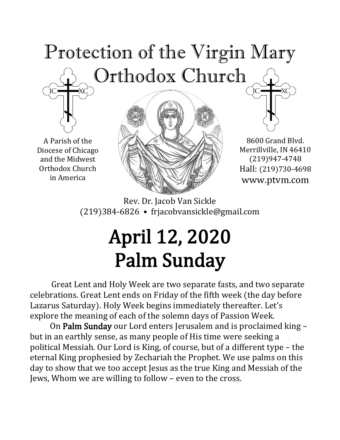# Protection of the Virgin Mary Orthodox Church  $\rm ^{1}C$  –



A Parish of the Diocese of Chicago and the Midwest Orthodox Church in America





Rev. Dr. Jacob Van Sickle (219)384-6826 • frjacobvansickle@gmail.com

# April 12, 2020 Palm Sunday

Great Lent and Holy Week are two separate fasts, and two separate celebrations. Great Lent ends on Friday of the fifth week (the day before Lazarus Saturday). Holy Week begins immediately thereafter. Let's explore the meaning of each of the solemn days of Passion Week.

On Palm Sunday our Lord enters Jerusalem and is proclaimed king – but in an earthly sense, as many people of His time were seeking a political Messiah. Our Lord is King, of course, but of a different type – the eternal King prophesied by Zechariah the Prophet. We use palms on this day to show that we too accept Jesus as the true King and Messiah of the Jews, Whom we are willing to follow – even to the cross.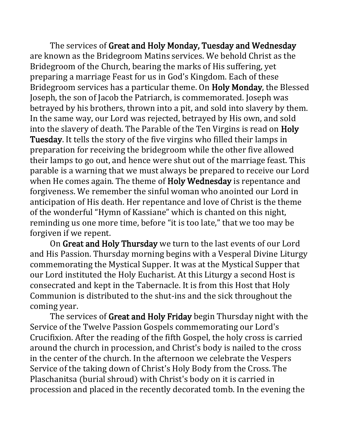The services of Great and Holy Monday, Tuesday and Wednesday are known as the Bridegroom Matins services. We behold Christ as the Bridegroom of the Church, bearing the marks of His suffering, yet preparing a marriage Feast for us in God's Kingdom. Each of these Bridegroom services has a particular theme. On Holy Monday, the Blessed Joseph, the son of Jacob the Patriarch, is commemorated. Joseph was betrayed by his brothers, thrown into a pit, and sold into slavery by them. In the same way, our Lord was rejected, betrayed by His own, and sold into the slavery of death. The Parable of the Ten Virgins is read on Holy Tuesday. It tells the story of the five virgins who filled their lamps in preparation for receiving the bridegroom while the other five allowed their lamps to go out, and hence were shut out of the marriage feast. This parable is a warning that we must always be prepared to receive our Lord when He comes again. The theme of **Holy Wednesday** is repentance and forgiveness. We remember the sinful woman who anointed our Lord in anticipation of His death. Her repentance and love of Christ is the theme of the wonderful "Hymn of Kassiane" which is chanted on this night, reminding us one more time, before "it is too late," that we too may be forgiven if we repent.

On Great and Holy Thursday we turn to the last events of our Lord and His Passion. Thursday morning begins with a Vesperal Divine Liturgy commemorating the Mystical Supper. It was at the Mystical Supper that our Lord instituted the Holy Eucharist. At this Liturgy a second Host is consecrated and kept in the Tabernacle. It is from this Host that Holy Communion is distributed to the shut-ins and the sick throughout the coming year.

The services of Great and Holy Friday begin Thursday night with the Service of the Twelve Passion Gospels commemorating our Lord's Crucifixion. After the reading of the fifth Gospel, the holy cross is carried around the church in procession, and Christ's body is nailed to the cross in the center of the church. In the afternoon we celebrate the Vespers Service of the taking down of Christ's Holy Body from the Cross. The Plaschanitsa (burial shroud) with Christ's body on it is carried in procession and placed in the recently decorated tomb. In the evening the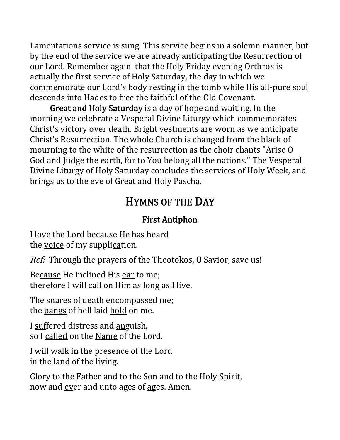Lamentations service is sung. This service begins in a solemn manner, but by the end of the service we are already anticipating the Resurrection of our Lord. Remember again, that the Holy Friday evening Orthros is actually the first service of Holy Saturday, the day in which we commemorate our Lord's body resting in the tomb while His all-pure soul descends into Hades to free the faithful of the Old Covenant.

Great and Holy Saturday is a day of hope and waiting. In the morning we celebrate a Vesperal Divine Liturgy which commemorates Christ's victory over death. Bright vestments are worn as we anticipate Christ's Resurrection. The whole Church is changed from the black of mourning to the white of the resurrection as the choir chants "Arise O God and Judge the earth, for to You belong all the nations." The Vesperal Divine Liturgy of Holy Saturday concludes the services of Holy Week, and brings us to the eve of Great and Holy Pascha.

## HYMNS OF THE DAY

#### First Antiphon

I love the Lord because He has heard the voice of my supplication.

Ref: Through the prayers of the Theotokos, O Savior, save us!

Because He inclined His ear to me; therefore I will call on Him as long as I live.

The snares of death encompassed me; the pangs of hell laid hold on me.

I suffered distress and anguish, so I called on the Name of the Lord.

I will walk in the presence of the Lord in the land of the living.

Glory to the **Father and to the Son and to the Holy Spirit**, now and ever and unto ages of ages. Amen.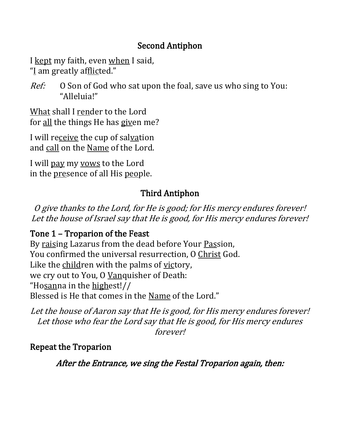#### Second Antiphon

I kept my faith, even when I said, "I am greatly afflicted."

Ref: O Son of God who sat upon the foal, save us who sing to You: "Alleluia!"

What shall I render to the Lord for all the things He has given me?

I will receive the cup of salvation and call on the Name of the Lord.

I will pay my vows to the Lord in the presence of all His people.

#### Third Antiphon

O give thanks to the Lord, for He is good; for His mercy endures forever! Let the house of Israel say that He is good, for His mercy endures forever!

#### Tone 1 – Troparion of the Feast

By raising Lazarus from the dead before Your Passion, You confirmed the universal resurrection, O Christ God. Like the children with the palms of victory, we cry out to You, O Vanquisher of Death: "Hosanna in the highest!// Blessed is He that comes in the Name of the Lord."

Let the house of Aaron say that He is good, for His mercy endures forever! Let those who fear the Lord say that He is good, for His mercy endures forever!

#### Repeat the Troparion

After the Entrance, we sing the Festal Troparion again, then: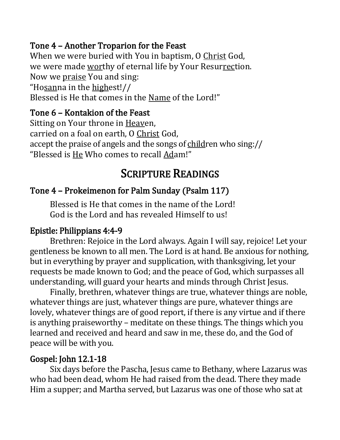#### Tone 4 – Another Troparion for the Feast

When we were buried with You in baptism, O Christ God, we were made worthy of eternal life by Your Resurrection. Now we praise You and sing: "Hosanna in the highest!// Blessed is He that comes in the Name of the Lord!"

#### Tone 6 – Kontakion of the Feast

Sitting on Your throne in Heaven, carried on a foal on earth, O Christ God, accept the praise of angels and the songs of children who sing:// "Blessed is He Who comes to recall Adam!"

# SCRIPTURE READINGS

#### Tone 4 – Prokeimenon for Palm Sunday (Psalm 117)

Blessed is He that comes in the name of the Lord! God is the Lord and has revealed Himself to us!

#### Epistle: Philippians 4:4-9

Brethren: Rejoice in the Lord always. Again I will say, rejoice! Let your gentleness be known to all men. The Lord is at hand. Be anxious for nothing, but in everything by prayer and supplication, with thanksgiving, let your requests be made known to God; and the peace of God, which surpasses all understanding, will guard your hearts and minds through Christ Jesus.

Finally, brethren, whatever things are true, whatever things are noble, whatever things are just, whatever things are pure, whatever things are lovely, whatever things are of good report, if there is any virtue and if there is anything praiseworthy – meditate on these things. The things which you learned and received and heard and saw in me, these do, and the God of peace will be with you.

#### Gospel: John 12.1-18

Six days before the Pascha, Jesus came to Bethany, where Lazarus was who had been dead, whom He had raised from the dead. There they made Him a supper; and Martha served, but Lazarus was one of those who sat at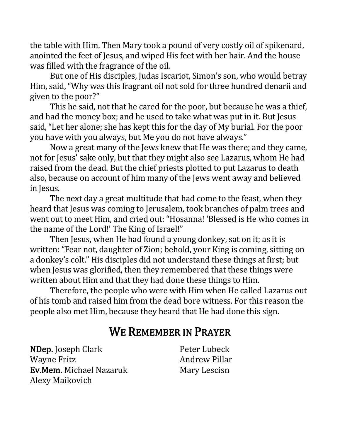the table with Him. Then Mary took a pound of very costly oil of spikenard, anointed the feet of Jesus, and wiped His feet with her hair. And the house was filled with the fragrance of the oil.

But one of His disciples, Judas Iscariot, Simon's son, who would betray Him, said, "Why was this fragrant oil not sold for three hundred denarii and given to the poor?"

This he said, not that he cared for the poor, but because he was a thief, and had the money box; and he used to take what was put in it. But Jesus said, "Let her alone; she has kept this for the day of My burial. For the poor you have with you always, but Me you do not have always."

Now a great many of the Jews knew that He was there; and they came, not for Jesus' sake only, but that they might also see Lazarus, whom He had raised from the dead. But the chief priests plotted to put Lazarus to death also, because on account of him many of the Jews went away and believed in Jesus.

The next day a great multitude that had come to the feast, when they heard that Jesus was coming to Jerusalem, took branches of palm trees and went out to meet Him, and cried out: "Hosanna! 'Blessed is He who comes in the name of the Lord!' The King of Israel!"

Then Jesus, when He had found a young donkey, sat on it; as it is written: "Fear not, daughter of Zion; behold, your King is coming, sitting on a donkey's colt." His disciples did not understand these things at first; but when Jesus was glorified, then they remembered that these things were written about Him and that they had done these things to Him.

Therefore, the people who were with Him when He called Lazarus out of his tomb and raised him from the dead bore witness. For this reason the people also met Him, because they heard that He had done this sign.

### WE REMEMBER IN PRAYER

NDep. Joseph Clark Wayne Fritz Ev.Mem. Michael Nazaruk Alexy Maikovich

Peter Lubeck Andrew Pillar Mary Lescisn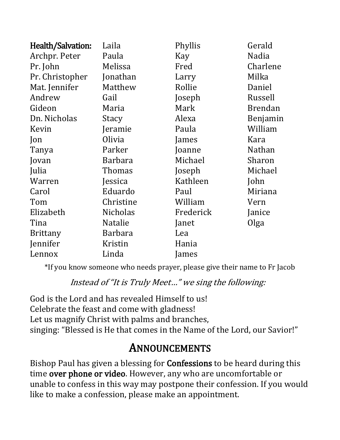| Health/Salvation: | Laila           | Phyllis   | Gerald         |
|-------------------|-----------------|-----------|----------------|
| Archpr. Peter     | Paula           | Kay       | Nadia          |
| Pr. John          | Melissa         | Fred      | Charlene       |
| Pr. Christopher   | Jonathan        | Larry     | Milka          |
| Mat. Jennifer     | Matthew         | Rollie    | Daniel         |
| Andrew            | Gail            | Joseph    | Russell        |
| Gideon            | Maria           | Mark      | <b>Brendan</b> |
| Dn. Nicholas      | Stacy           | Alexa     | Benjamin       |
| Kevin             | Jeramie         | Paula     | William        |
| Jon               | Olivia          | James     | Kara           |
| Tanya             | Parker          | Joanne    | <b>Nathan</b>  |
| Jovan             | <b>Barbara</b>  | Michael   | Sharon         |
| Julia             | Thomas          | Joseph    | Michael        |
| Warren            | Jessica         | Kathleen  | John           |
| Carol             | Eduardo         | Paul      | Miriana        |
| Tom               | Christine       | William   | Vern           |
| Elizabeth         | <b>Nicholas</b> | Frederick | Janice         |
| Tina              | <b>Natalie</b>  | Janet     | Olga           |
| <b>Brittany</b>   | <b>Barbara</b>  | Lea       |                |
| Jennifer          | Kristin         | Hania     |                |
| Lennox            | Linda           | James     |                |

\*If you know someone who needs prayer, please give their name to Fr Jacob

Instead of "It is Truly Meet…" we sing the following:

God is the Lord and has revealed Himself to us! Celebrate the feast and come with gladness! Let us magnify Christ with palms and branches, singing: "Blessed is He that comes in the Name of the Lord, our Savior!"

## **ANNOUNCEMENTS**

Bishop Paul has given a blessing for Confessions to be heard during this time over phone or video. However, any who are uncomfortable or unable to confess in this way may postpone their confession. If you would like to make a confession, please make an appointment.